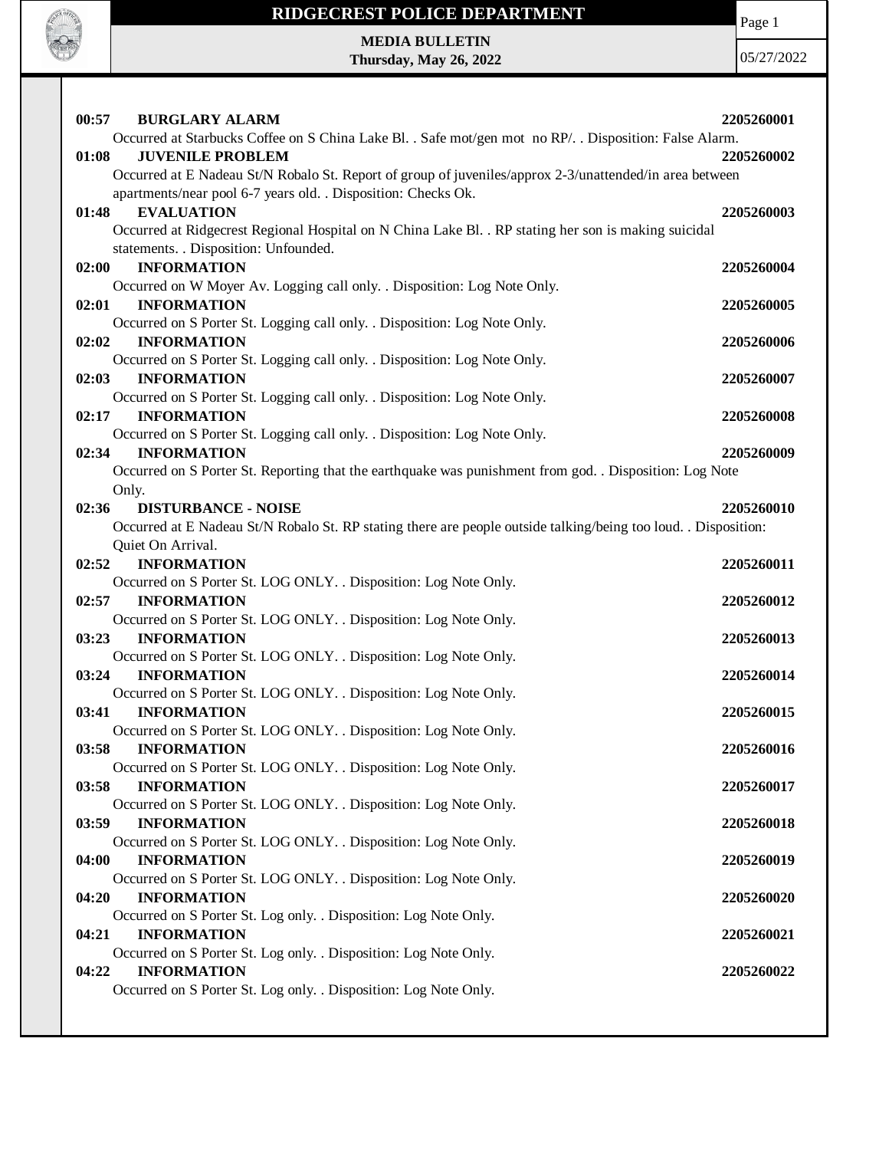

# **RIDGECREST POLICE DEPARTMENT MEDIA BULLETIN**

**Thursday, May 26, 2022**

Page 1

| 00:57<br><b>BURGLARY ALARM</b>                                                                                  | 2205260001 |
|-----------------------------------------------------------------------------------------------------------------|------------|
| Occurred at Starbucks Coffee on S China Lake Bl. . Safe mot/gen mot no RP/. . Disposition: False Alarm.         |            |
| 01:08<br><b>JUVENILE PROBLEM</b>                                                                                | 2205260002 |
| Occurred at E Nadeau St/N Robalo St. Report of group of juveniles/approx 2-3/unattended/in area between         |            |
| apartments/near pool 6-7 years old. . Disposition: Checks Ok.                                                   |            |
| <b>EVALUATION</b><br>01:48                                                                                      | 2205260003 |
| Occurred at Ridgecrest Regional Hospital on N China Lake Bl. . RP stating her son is making suicidal            |            |
| statements. . Disposition: Unfounded.                                                                           |            |
| <b>INFORMATION</b><br>02:00                                                                                     | 2205260004 |
| Occurred on W Moyer Av. Logging call only. . Disposition: Log Note Only.                                        |            |
| <b>INFORMATION</b><br>02:01                                                                                     | 2205260005 |
| Occurred on S Porter St. Logging call only. . Disposition: Log Note Only.                                       |            |
| 02:02<br><b>INFORMATION</b>                                                                                     | 2205260006 |
| Occurred on S Porter St. Logging call only. . Disposition: Log Note Only.                                       |            |
| 02:03<br><b>INFORMATION</b>                                                                                     | 2205260007 |
| Occurred on S Porter St. Logging call only. . Disposition: Log Note Only.                                       |            |
| 02:17<br><b>INFORMATION</b>                                                                                     | 2205260008 |
| Occurred on S Porter St. Logging call only. . Disposition: Log Note Only.                                       |            |
| 02:34<br><b>INFORMATION</b>                                                                                     | 2205260009 |
| Occurred on S Porter St. Reporting that the earthquake was punishment from god. . Disposition: Log Note         |            |
| Only.                                                                                                           |            |
| 02:36<br><b>DISTURBANCE - NOISE</b>                                                                             | 2205260010 |
| Occurred at E Nadeau St/N Robalo St. RP stating there are people outside talking/being too loud. . Disposition: |            |
| Quiet On Arrival.                                                                                               |            |
| <b>INFORMATION</b><br>02:52                                                                                     | 2205260011 |
| Occurred on S Porter St. LOG ONLY. . Disposition: Log Note Only.                                                |            |
| 02:57<br><b>INFORMATION</b>                                                                                     | 2205260012 |
| Occurred on S Porter St. LOG ONLY. . Disposition: Log Note Only.                                                |            |
| 03:23<br><b>INFORMATION</b>                                                                                     | 2205260013 |
| Occurred on S Porter St. LOG ONLY. . Disposition: Log Note Only.                                                |            |
| <b>INFORMATION</b><br>03:24                                                                                     | 2205260014 |
| Occurred on S Porter St. LOG ONLY. . Disposition: Log Note Only.                                                |            |
| 03:41<br><b>INFORMATION</b>                                                                                     | 2205260015 |
| Occurred on S Porter St. LOG ONLY. . Disposition: Log Note Only.                                                |            |
| 03:58<br><b>INFORMATION</b>                                                                                     | 2205260016 |
| Occurred on S Porter St. LOG ONLY. . Disposition: Log Note Only.                                                |            |
| <b>INFORMATION</b><br>03:58                                                                                     | 2205260017 |
| Occurred on S Porter St. LOG ONLY. . Disposition: Log Note Only.                                                |            |
| 03:59<br><b>INFORMATION</b>                                                                                     | 2205260018 |
| Occurred on S Porter St. LOG ONLY. . Disposition: Log Note Only.                                                |            |
| 04:00<br><b>INFORMATION</b>                                                                                     | 2205260019 |
| Occurred on S Porter St. LOG ONLY. . Disposition: Log Note Only.                                                |            |
| <b>INFORMATION</b><br>04:20                                                                                     | 2205260020 |
| Occurred on S Porter St. Log only. . Disposition: Log Note Only.                                                |            |
| <b>INFORMATION</b><br>04:21                                                                                     | 2205260021 |
| Occurred on S Porter St. Log only. . Disposition: Log Note Only.                                                |            |
| <b>INFORMATION</b><br>04:22                                                                                     | 2205260022 |
| Occurred on S Porter St. Log only. . Disposition: Log Note Only.                                                |            |
|                                                                                                                 |            |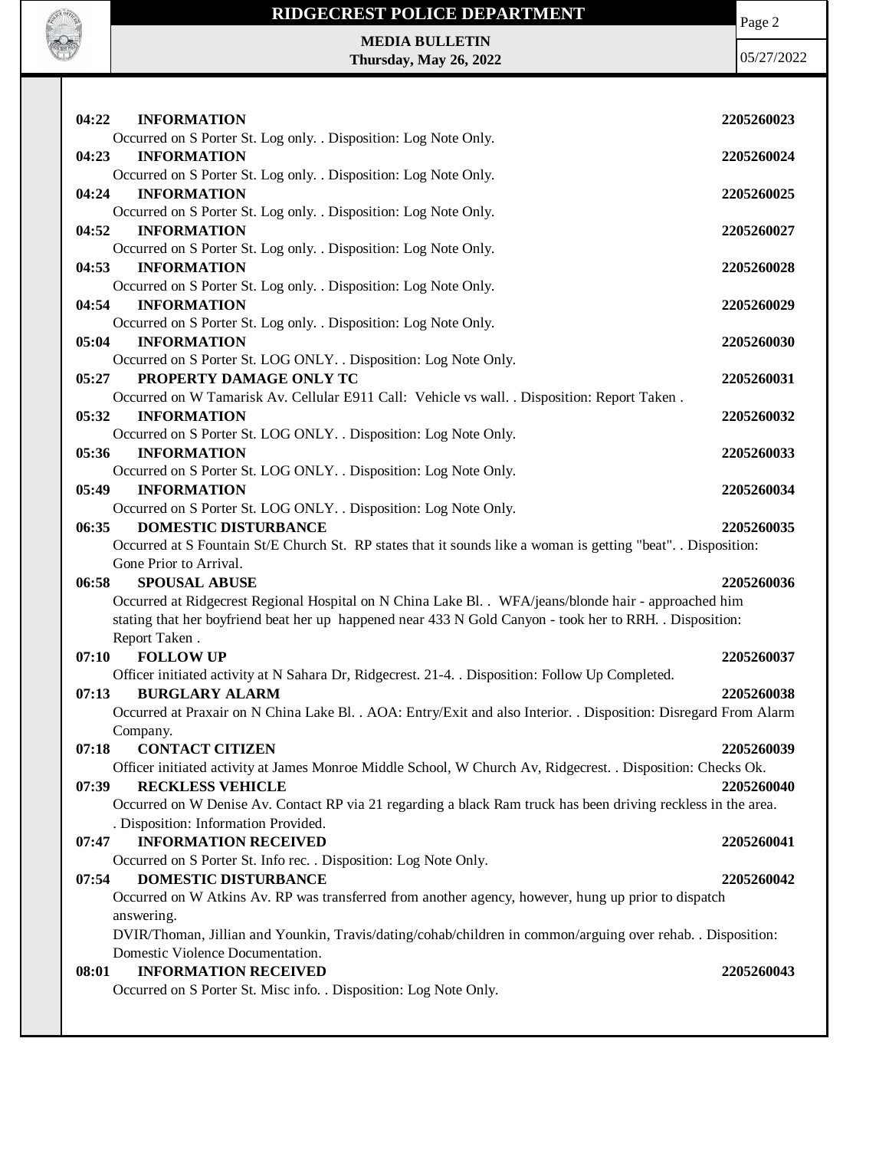|       | RIDGECREST POLICE DEPARTMENT                                                                                                  | Page 2     |
|-------|-------------------------------------------------------------------------------------------------------------------------------|------------|
|       | <b>MEDIA BULLETIN</b><br><b>Thursday, May 26, 2022</b>                                                                        | 05/27/2022 |
|       |                                                                                                                               |            |
|       |                                                                                                                               |            |
| 04:22 | <b>INFORMATION</b><br>Occurred on S Porter St. Log only. . Disposition: Log Note Only.                                        | 2205260023 |
| 04:23 | <b>INFORMATION</b>                                                                                                            | 2205260024 |
|       | Occurred on S Porter St. Log only. . Disposition: Log Note Only.                                                              |            |
| 04:24 | <b>INFORMATION</b>                                                                                                            | 2205260025 |
|       | Occurred on S Porter St. Log only. . Disposition: Log Note Only.                                                              |            |
| 04:52 | <b>INFORMATION</b>                                                                                                            | 2205260027 |
|       | Occurred on S Porter St. Log only. . Disposition: Log Note Only.                                                              |            |
| 04:53 | <b>INFORMATION</b><br>Occurred on S Porter St. Log only. . Disposition: Log Note Only.                                        | 2205260028 |
| 04:54 | <b>INFORMATION</b>                                                                                                            | 2205260029 |
|       | Occurred on S Porter St. Log only. . Disposition: Log Note Only.                                                              |            |
| 05:04 | <b>INFORMATION</b>                                                                                                            | 2205260030 |
|       | Occurred on S Porter St. LOG ONLY. . Disposition: Log Note Only.                                                              |            |
| 05:27 | PROPERTY DAMAGE ONLY TC                                                                                                       | 2205260031 |
|       | Occurred on W Tamarisk Av. Cellular E911 Call: Vehicle vs wall. . Disposition: Report Taken.                                  |            |
| 05:32 | <b>INFORMATION</b>                                                                                                            | 2205260032 |
| 05:36 | Occurred on S Porter St. LOG ONLY. . Disposition: Log Note Only.<br><b>INFORMATION</b>                                        | 2205260033 |
|       | Occurred on S Porter St. LOG ONLY. . Disposition: Log Note Only.                                                              |            |
| 05:49 | <b>INFORMATION</b>                                                                                                            | 2205260034 |
|       | Occurred on S Porter St. LOG ONLY. . Disposition: Log Note Only.                                                              |            |
| 06:35 | <b>DOMESTIC DISTURBANCE</b>                                                                                                   | 2205260035 |
|       | Occurred at S Fountain St/E Church St. RP states that it sounds like a woman is getting "beat". . Disposition:                |            |
|       | Gone Prior to Arrival.                                                                                                        |            |
| 06:58 | <b>SPOUSAL ABUSE</b><br>Occurred at Ridgecrest Regional Hospital on N China Lake Bl. . WFA/jeans/blonde hair - approached him | 2205260036 |
|       | stating that her boyfriend beat her up happened near 433 N Gold Canyon - took her to RRH. . Disposition:                      |            |
|       | Report Taken.                                                                                                                 |            |
| 07:10 | <b>FOLLOW UP</b>                                                                                                              | 2205260037 |
|       | Officer initiated activity at N Sahara Dr, Ridgecrest. 21-4. . Disposition: Follow Up Completed.                              |            |
| 07:13 | <b>BURGLARY ALARM</b>                                                                                                         | 2205260038 |
|       | Occurred at Praxair on N China Lake Bl. . AOA: Entry/Exit and also Interior. . Disposition: Disregard From Alarm              |            |
| 07:18 | Company.<br><b>CONTACT CITIZEN</b>                                                                                            | 2205260039 |
|       | Officer initiated activity at James Monroe Middle School, W Church Av, Ridgecrest. . Disposition: Checks Ok.                  |            |
| 07:39 | <b>RECKLESS VEHICLE</b>                                                                                                       | 2205260040 |
|       | Occurred on W Denise Av. Contact RP via 21 regarding a black Ram truck has been driving reckless in the area.                 |            |
|       | . Disposition: Information Provided.                                                                                          |            |
| 07:47 | <b>INFORMATION RECEIVED</b>                                                                                                   | 2205260041 |
|       | Occurred on S Porter St. Info rec. . Disposition: Log Note Only.                                                              |            |
| 07:54 | <b>DOMESTIC DISTURBANCE</b>                                                                                                   | 2205260042 |
|       | Occurred on W Atkins Av. RP was transferred from another agency, however, hung up prior to dispatch<br>answering.             |            |
|       | DVIR/Thoman, Jillian and Younkin, Travis/dating/cohab/children in common/arguing over rehab. . Disposition:                   |            |
|       | Domestic Violence Documentation.                                                                                              |            |
| 08:01 | <b>INFORMATION RECEIVED</b>                                                                                                   | 2205260043 |
|       | Occurred on S Porter St. Misc info. . Disposition: Log Note Only.                                                             |            |
|       |                                                                                                                               |            |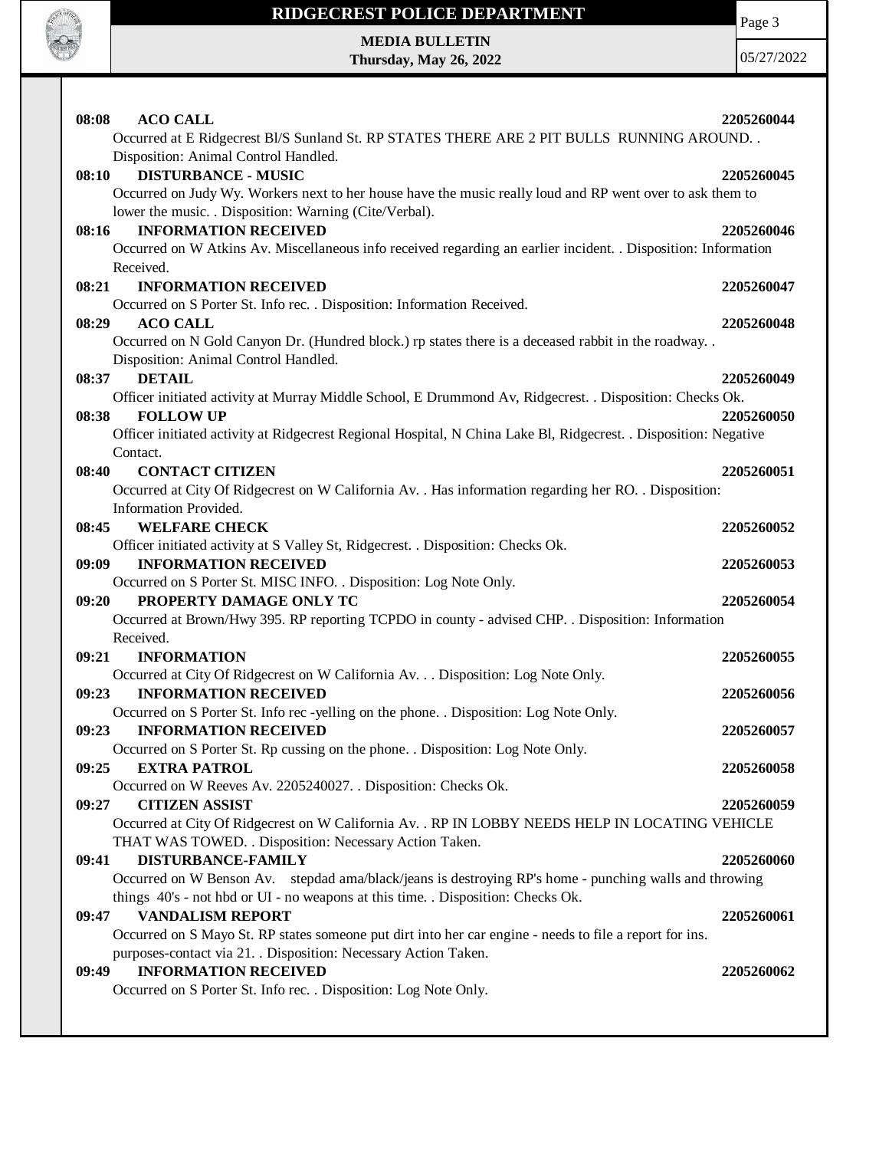

Page 3

**MEDIA BULLETIN Thursday, May 26, 2022**

| 08:08<br><b>ACO CALL</b>                                                                                         | 2205260044 |
|------------------------------------------------------------------------------------------------------------------|------------|
| Occurred at E Ridgecrest Bl/S Sunland St. RP STATES THERE ARE 2 PIT BULLS RUNNING AROUND. .                      |            |
| Disposition: Animal Control Handled.                                                                             |            |
| <b>DISTURBANCE - MUSIC</b><br>08:10                                                                              | 2205260045 |
| Occurred on Judy Wy. Workers next to her house have the music really loud and RP went over to ask them to        |            |
| lower the music. . Disposition: Warning (Cite/Verbal).                                                           |            |
| <b>INFORMATION RECEIVED</b><br>08:16                                                                             | 2205260046 |
| Occurred on W Atkins Av. Miscellaneous info received regarding an earlier incident. . Disposition: Information   |            |
| Received.                                                                                                        |            |
| 08:21<br><b>INFORMATION RECEIVED</b>                                                                             | 2205260047 |
| Occurred on S Porter St. Info rec. . Disposition: Information Received.                                          |            |
| 08:29<br><b>ACO CALL</b>                                                                                         | 2205260048 |
| Occurred on N Gold Canyon Dr. (Hundred block.) rp states there is a deceased rabbit in the roadway. .            |            |
| Disposition: Animal Control Handled.                                                                             |            |
| 08:37<br><b>DETAIL</b>                                                                                           | 2205260049 |
| Officer initiated activity at Murray Middle School, E Drummond Av, Ridgecrest. . Disposition: Checks Ok.         |            |
| 08:38<br><b>FOLLOW UP</b>                                                                                        | 2205260050 |
| Officer initiated activity at Ridgecrest Regional Hospital, N China Lake Bl, Ridgecrest. . Disposition: Negative |            |
| Contact.                                                                                                         |            |
| <b>CONTACT CITIZEN</b><br>08:40                                                                                  | 2205260051 |
| Occurred at City Of Ridgecrest on W California Av. . Has information regarding her RO. . Disposition:            |            |
| Information Provided.                                                                                            |            |
| <b>WELFARE CHECK</b><br>08:45                                                                                    | 2205260052 |
| Officer initiated activity at S Valley St, Ridgecrest. . Disposition: Checks Ok.                                 |            |
| <b>INFORMATION RECEIVED</b><br>09:09                                                                             | 2205260053 |
| Occurred on S Porter St. MISC INFO. . Disposition: Log Note Only.                                                |            |
| PROPERTY DAMAGE ONLY TC<br>09:20                                                                                 | 2205260054 |
| Occurred at Brown/Hwy 395. RP reporting TCPDO in county - advised CHP. . Disposition: Information                |            |
| Received.                                                                                                        |            |
| 09:21<br><b>INFORMATION</b>                                                                                      | 2205260055 |
| Occurred at City Of Ridgecrest on W California Av. Disposition: Log Note Only.                                   |            |
| <b>INFORMATION RECEIVED</b><br>09:23                                                                             | 2205260056 |
| Occurred on S Porter St. Info rec -yelling on the phone. . Disposition: Log Note Only.                           |            |
| <b>INFORMATION RECEIVED</b><br>09:23                                                                             | 2205260057 |
| Occurred on S Porter St. Rp cussing on the phone. . Disposition: Log Note Only.                                  |            |
| <b>EXTRA PATROL</b><br>09:25                                                                                     | 2205260058 |
| Occurred on W Reeves Av. 2205240027. . Disposition: Checks Ok.                                                   |            |
| 09:27<br><b>CITIZEN ASSIST</b>                                                                                   | 2205260059 |
| Occurred at City Of Ridgecrest on W California Av. . RP IN LOBBY NEEDS HELP IN LOCATING VEHICLE                  |            |
| THAT WAS TOWED. . Disposition: Necessary Action Taken.                                                           |            |
| DISTURBANCE-FAMILY<br>09:41                                                                                      | 2205260060 |
| Occurred on W Benson Av. stepdad ama/black/jeans is destroying RP's home - punching walls and throwing           |            |
| things 40's - not hbd or UI - no weapons at this time. . Disposition: Checks Ok.                                 |            |
| <b>VANDALISM REPORT</b><br>09:47                                                                                 | 2205260061 |
| Occurred on S Mayo St. RP states someone put dirt into her car engine - needs to file a report for ins.          |            |
| purposes-contact via 21. . Disposition: Necessary Action Taken.                                                  |            |
| <b>INFORMATION RECEIVED</b><br>09:49                                                                             | 2205260062 |
| Occurred on S Porter St. Info rec. . Disposition: Log Note Only.                                                 |            |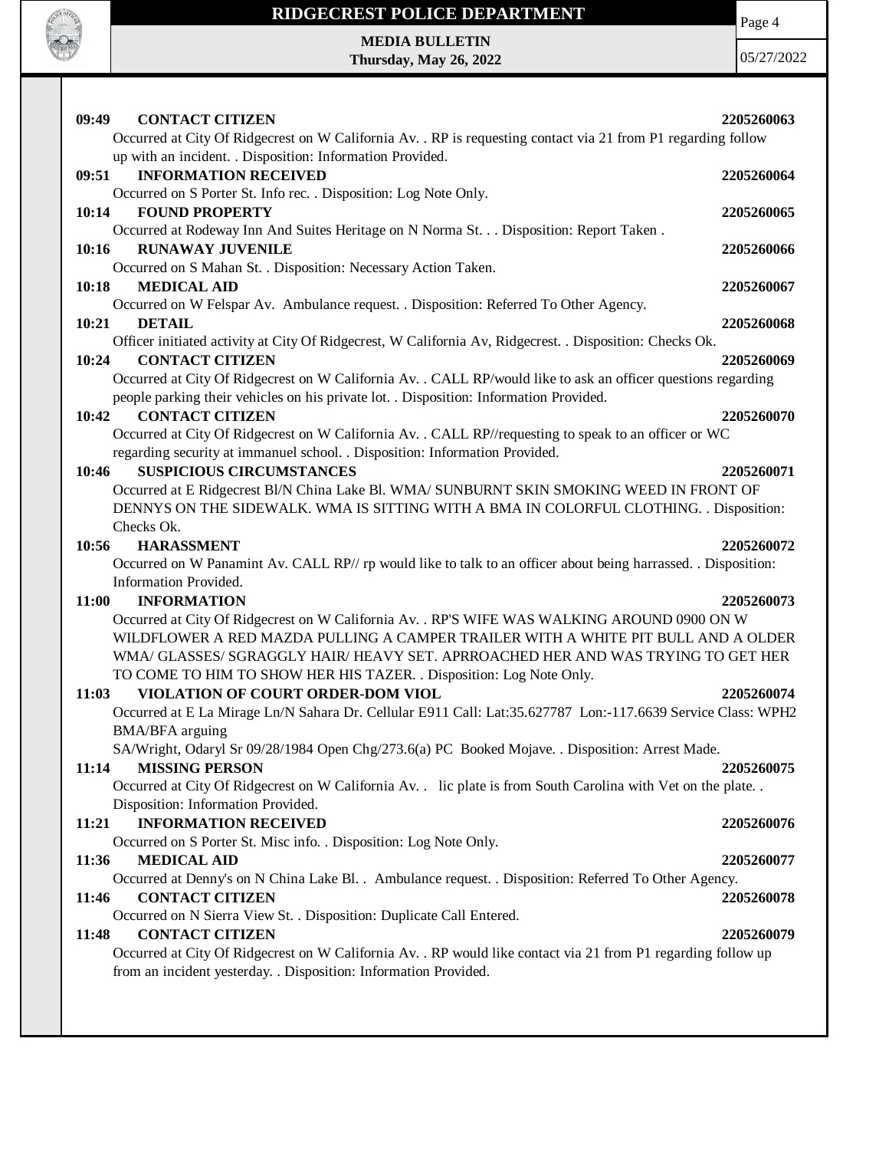

**MEDIA BULLETIN Thursday, May 26, 2022** Page 4

| <b>CONTACT CITIZEN</b><br>09:49<br>Occurred at City Of Ridgecrest on W California Av. . RP is requesting contact via 21 from P1 regarding follow | 2205260063 |
|--------------------------------------------------------------------------------------------------------------------------------------------------|------------|
| up with an incident. . Disposition: Information Provided.<br><b>INFORMATION RECEIVED</b><br>09:51                                                | 2205260064 |
| Occurred on S Porter St. Info rec. . Disposition: Log Note Only.<br><b>FOUND PROPERTY</b><br>10:14                                               | 2205260065 |
| Occurred at Rodeway Inn And Suites Heritage on N Norma St. Disposition: Report Taken .                                                           |            |
| <b>RUNAWAY JUVENILE</b><br>10:16                                                                                                                 | 2205260066 |
| Occurred on S Mahan St. . Disposition: Necessary Action Taken.                                                                                   |            |
| 10:18<br><b>MEDICAL AID</b>                                                                                                                      | 2205260067 |
| Occurred on W Felspar Av. Ambulance request. . Disposition: Referred To Other Agency.                                                            |            |
| 10:21<br><b>DETAIL</b><br>Officer initiated activity at City Of Ridgecrest, W California Av, Ridgecrest. . Disposition: Checks Ok.               | 2205260068 |
| <b>CONTACT CITIZEN</b><br>10:24                                                                                                                  | 2205260069 |
| Occurred at City Of Ridgecrest on W California Av. . CALL RP/would like to ask an officer questions regarding                                    |            |
| people parking their vehicles on his private lot. . Disposition: Information Provided.                                                           |            |
| <b>CONTACT CITIZEN</b><br>10:42                                                                                                                  | 2205260070 |
| Occurred at City Of Ridgecrest on W California Av. . CALL RP//requesting to speak to an officer or WC                                            |            |
| regarding security at immanuel school. . Disposition: Information Provided.                                                                      |            |
| <b>SUSPICIOUS CIRCUMSTANCES</b><br>10:46                                                                                                         | 2205260071 |
| Occurred at E Ridgecrest Bl/N China Lake Bl. WMA/ SUNBURNT SKIN SMOKING WEED IN FRONT OF                                                         |            |
| DENNYS ON THE SIDEWALK. WMA IS SITTING WITH A BMA IN COLORFUL CLOTHING. . Disposition:                                                           |            |
| Checks Ok.                                                                                                                                       |            |
| <b>HARASSMENT</b><br>10:56                                                                                                                       | 2205260072 |
| Occurred on W Panamint Av. CALL RP// rp would like to talk to an officer about being harrassed. . Disposition:                                   |            |
|                                                                                                                                                  |            |
| Information Provided.                                                                                                                            |            |
| 11:00<br><b>INFORMATION</b>                                                                                                                      | 2205260073 |
| Occurred at City Of Ridgecrest on W California Av. . RP'S WIFE WAS WALKING AROUND 0900 ON W                                                      |            |
| WILDFLOWER A RED MAZDA PULLING A CAMPER TRAILER WITH A WHITE PIT BULL AND A OLDER                                                                |            |
| WMA/ GLASSES/ SGRAGGLY HAIR/ HEAVY SET. APRROACHED HER AND WAS TRYING TO GET HER                                                                 |            |
| TO COME TO HIM TO SHOW HER HIS TAZER. . Disposition: Log Note Only.                                                                              |            |
| VIOLATION OF COURT ORDER-DOM VIOL<br>11:03                                                                                                       | 2205260074 |
| Occurred at E La Mirage Ln/N Sahara Dr. Cellular E911 Call: Lat:35.627787 Lon:-117.6639 Service Class: WPH2                                      |            |
| <b>BMA/BFA</b> arguing                                                                                                                           |            |
| SA/Wright, Odaryl Sr 09/28/1984 Open Chg/273.6(a) PC Booked Mojave. . Disposition: Arrest Made.                                                  |            |
| <b>MISSING PERSON</b><br>11:14                                                                                                                   | 2205260075 |
| Occurred at City Of Ridgecrest on W California Av. . lic plate is from South Carolina with Vet on the plate                                      |            |
| Disposition: Information Provided.                                                                                                               |            |
| 11:21<br><b>INFORMATION RECEIVED</b>                                                                                                             | 2205260076 |
| Occurred on S Porter St. Misc info. . Disposition: Log Note Only.<br>11:36<br><b>MEDICAL AID</b>                                                 | 2205260077 |
| Occurred at Denny's on N China Lake Bl. . Ambulance request. . Disposition: Referred To Other Agency.                                            |            |
| 11:46<br><b>CONTACT CITIZEN</b>                                                                                                                  | 2205260078 |
| Occurred on N Sierra View St. . Disposition: Duplicate Call Entered.                                                                             |            |
| <b>CONTACT CITIZEN</b><br>11:48                                                                                                                  | 2205260079 |
| Occurred at City Of Ridgecrest on W California Av. . RP would like contact via 21 from P1 regarding follow up                                    |            |
| from an incident yesterday. . Disposition: Information Provided.                                                                                 |            |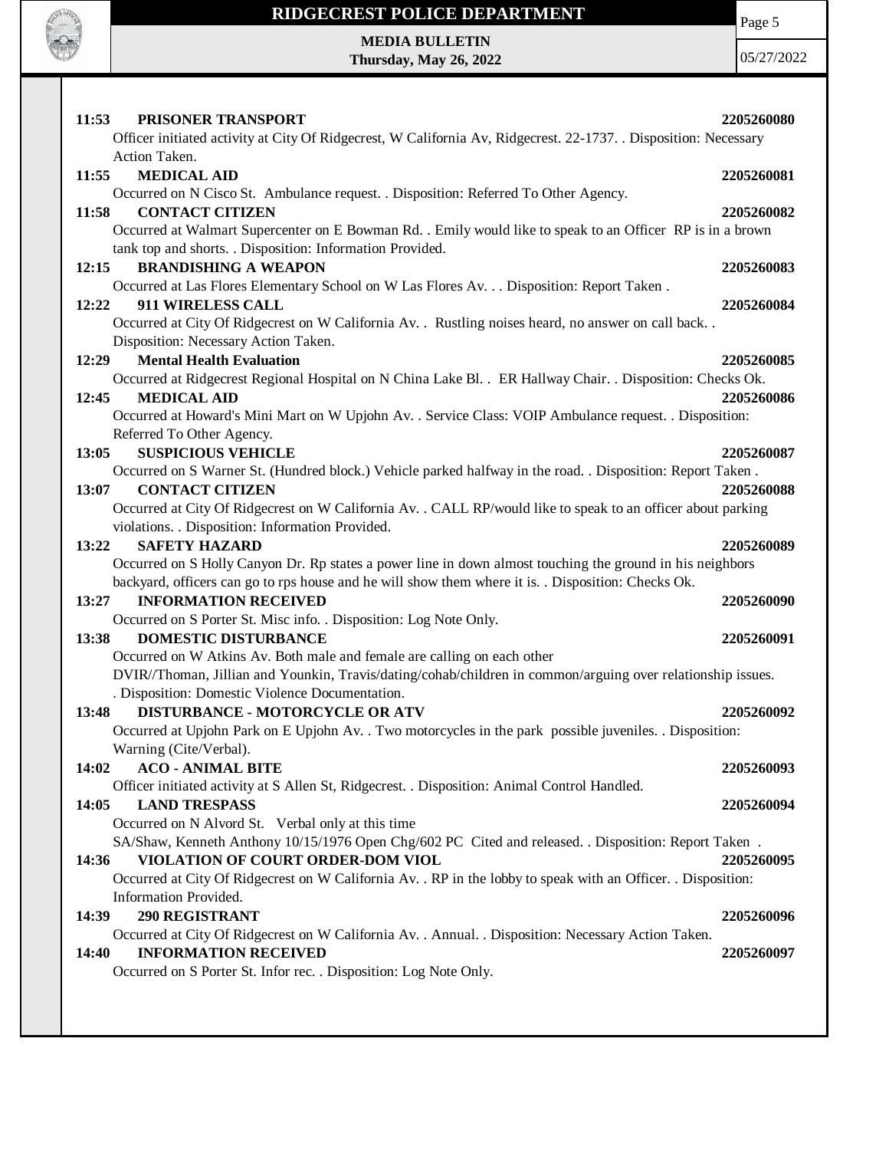

Page 5

**MEDIA BULLETIN Thursday, May 26, 2022**

| 11:53<br>PRISONER TRANSPORT<br>Officer initiated activity at City Of Ridgecrest, W California Av, Ridgecrest. 22-1737. . Disposition: Necessary                                                                                                               | 2205260080 |
|---------------------------------------------------------------------------------------------------------------------------------------------------------------------------------------------------------------------------------------------------------------|------------|
| Action Taken.<br><b>MEDICAL AID</b><br>11:55                                                                                                                                                                                                                  | 2205260081 |
| Occurred on N Cisco St. Ambulance request. . Disposition: Referred To Other Agency.<br>11:58<br><b>CONTACT CITIZEN</b><br>Occurred at Walmart Supercenter on E Bowman Rd. . Emily would like to speak to an Officer RP is in a brown                          | 2205260082 |
| tank top and shorts. . Disposition: Information Provided.<br><b>BRANDISHING A WEAPON</b><br>12:15                                                                                                                                                             | 2205260083 |
| Occurred at Las Flores Elementary School on W Las Flores Av. Disposition: Report Taken.<br>12:22<br>911 WIRELESS CALL<br>Occurred at City Of Ridgecrest on W California Av. . Rustling noises heard, no answer on call back. .                                | 2205260084 |
| Disposition: Necessary Action Taken.<br>12:29<br><b>Mental Health Evaluation</b>                                                                                                                                                                              | 2205260085 |
| Occurred at Ridgecrest Regional Hospital on N China Lake Bl. . ER Hallway Chair. . Disposition: Checks Ok.<br><b>MEDICAL AID</b><br>12:45<br>Occurred at Howard's Mini Mart on W Upjohn Av. . Service Class: VOIP Ambulance request. . Disposition:           | 2205260086 |
| Referred To Other Agency.<br><b>SUSPICIOUS VEHICLE</b><br>13:05                                                                                                                                                                                               | 2205260087 |
| Occurred on S Warner St. (Hundred block.) Vehicle parked halfway in the road. . Disposition: Report Taken.<br>13:07<br><b>CONTACT CITIZEN</b><br>Occurred at City Of Ridgecrest on W California Av. . CALL RP/would like to speak to an officer about parking | 2205260088 |
| violations. . Disposition: Information Provided.<br><b>SAFETY HAZARD</b><br>13:22<br>Occurred on S Holly Canyon Dr. Rp states a power line in down almost touching the ground in his neighbors                                                                | 2205260089 |
| backyard, officers can go to rps house and he will show them where it is. . Disposition: Checks Ok.<br><b>INFORMATION RECEIVED</b><br>13:27<br>Occurred on S Porter St. Misc info. . Disposition: Log Note Only.                                              | 2205260090 |
| <b>DOMESTIC DISTURBANCE</b><br>13:38<br>Occurred on W Atkins Av. Both male and female are calling on each other                                                                                                                                               | 2205260091 |
| DVIR//Thoman, Jillian and Younkin, Travis/dating/cohab/children in common/arguing over relationship issues.<br>. Disposition: Domestic Violence Documentation.<br><b>DISTURBANCE - MOTORCYCLE OR ATV</b><br>13:48                                             | 2205260092 |
| Occurred at Upjohn Park on E Upjohn Av. . Two motorcycles in the park possible juveniles. . Disposition:<br>Warning (Cite/Verbal).                                                                                                                            |            |
| <b>ACO - ANIMAL BITE</b><br>14:02<br>Officer initiated activity at S Allen St, Ridgecrest. . Disposition: Animal Control Handled.                                                                                                                             | 2205260093 |
| <b>LAND TRESPASS</b><br>14:05<br>Occurred on N Alvord St. Verbal only at this time<br>SA/Shaw, Kenneth Anthony 10/15/1976 Open Chg/602 PC Cited and released. . Disposition: Report Taken.                                                                    | 2205260094 |
| VIOLATION OF COURT ORDER-DOM VIOL<br>14:36<br>Occurred at City Of Ridgecrest on W California Av. . RP in the lobby to speak with an Officer. . Disposition:<br>Information Provided.                                                                          | 2205260095 |
| <b>290 REGISTRANT</b><br>14:39<br>Occurred at City Of Ridgecrest on W California Av. . Annual. . Disposition: Necessary Action Taken.                                                                                                                         | 2205260096 |
| <b>INFORMATION RECEIVED</b><br>14:40<br>Occurred on S Porter St. Infor rec. . Disposition: Log Note Only.                                                                                                                                                     | 2205260097 |
|                                                                                                                                                                                                                                                               |            |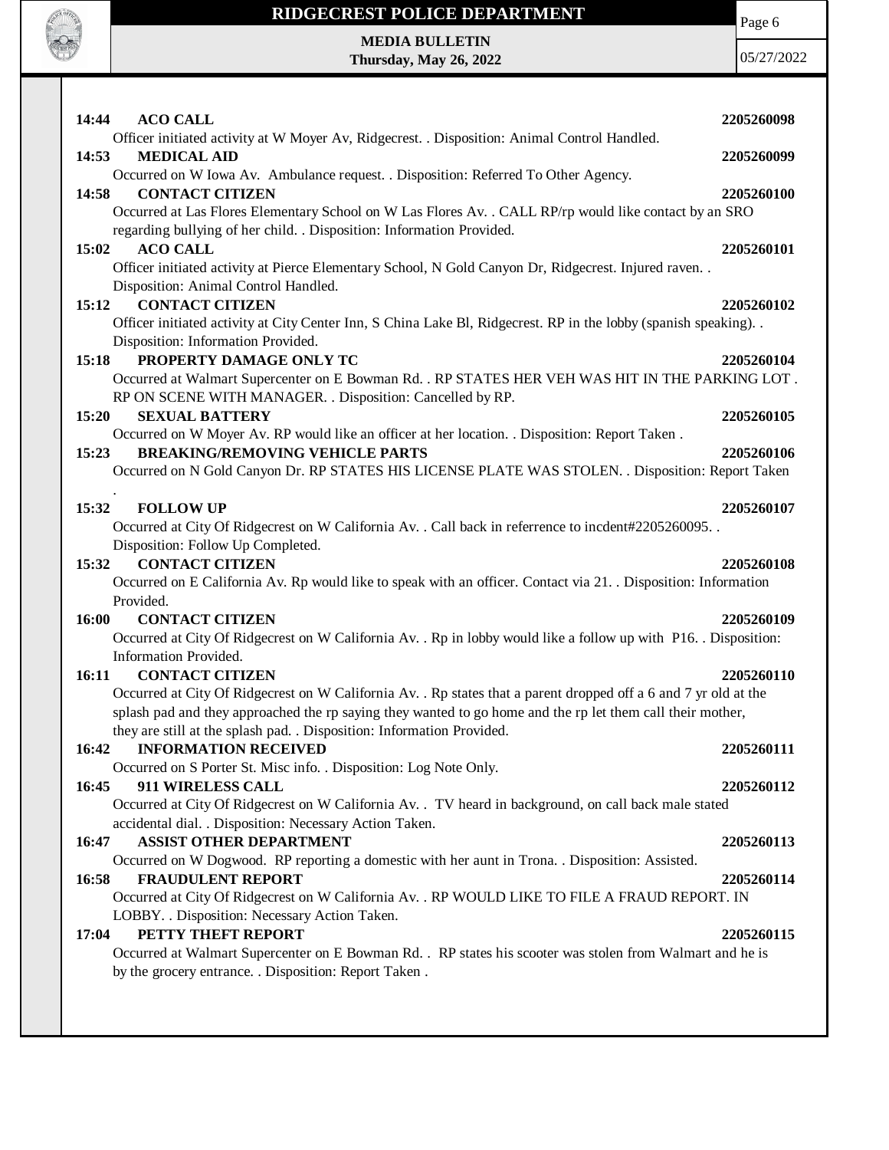

Page 6

**MEDIA BULLETIN Thursday, May 26, 2022**

|                                                                                                                                                                  | 2205260098 |
|------------------------------------------------------------------------------------------------------------------------------------------------------------------|------------|
| <b>ACO CALL</b><br>14:44<br>Officer initiated activity at W Moyer Av, Ridgecrest. . Disposition: Animal Control Handled.                                         |            |
| 14:53<br><b>MEDICAL AID</b>                                                                                                                                      | 2205260099 |
| Occurred on W Iowa Av. Ambulance request. . Disposition: Referred To Other Agency.                                                                               |            |
| 14:58<br><b>CONTACT CITIZEN</b>                                                                                                                                  | 2205260100 |
| Occurred at Las Flores Elementary School on W Las Flores Av. . CALL RP/rp would like contact by an SRO                                                           |            |
| regarding bullying of her child. . Disposition: Information Provided.                                                                                            |            |
| <b>ACO CALL</b><br>15:02                                                                                                                                         | 2205260101 |
| Officer initiated activity at Pierce Elementary School, N Gold Canyon Dr, Ridgecrest. Injured raven. .                                                           |            |
| Disposition: Animal Control Handled.                                                                                                                             |            |
| <b>CONTACT CITIZEN</b><br>15:12                                                                                                                                  | 2205260102 |
| Officer initiated activity at City Center Inn, S China Lake Bl, Ridgecrest. RP in the lobby (spanish speaking)                                                   |            |
| Disposition: Information Provided.                                                                                                                               |            |
| PROPERTY DAMAGE ONLY TC<br>15:18                                                                                                                                 | 2205260104 |
| Occurred at Walmart Supercenter on E Bowman Rd. . RP STATES HER VEH WAS HIT IN THE PARKING LOT.                                                                  |            |
| RP ON SCENE WITH MANAGER. . Disposition: Cancelled by RP.                                                                                                        |            |
| 15:20<br><b>SEXUAL BATTERY</b>                                                                                                                                   | 2205260105 |
| Occurred on W Moyer Av. RP would like an officer at her location. . Disposition: Report Taken.                                                                   |            |
| <b>BREAKING/REMOVING VEHICLE PARTS</b><br>15:23                                                                                                                  | 2205260106 |
| Occurred on N Gold Canyon Dr. RP STATES HIS LICENSE PLATE WAS STOLEN. . Disposition: Report Taken                                                                |            |
| 15:32<br><b>FOLLOW UP</b>                                                                                                                                        | 2205260107 |
| Occurred at City Of Ridgecrest on W California Av. . Call back in referrence to incdent#2205260095. .                                                            |            |
| Disposition: Follow Up Completed.                                                                                                                                |            |
| <b>CONTACT CITIZEN</b><br>15:32                                                                                                                                  | 2205260108 |
| Occurred on E California Av. Rp would like to speak with an officer. Contact via 21. Disposition: Information                                                    |            |
| Provided.                                                                                                                                                        |            |
|                                                                                                                                                                  |            |
|                                                                                                                                                                  |            |
| 16:00<br><b>CONTACT CITIZEN</b>                                                                                                                                  | 2205260109 |
| Occurred at City Of Ridgecrest on W California Av. . Rp in lobby would like a follow up with P16. . Disposition:                                                 |            |
| Information Provided.                                                                                                                                            |            |
| <b>CONTACT CITIZEN</b><br>16:11                                                                                                                                  | 2205260110 |
| Occurred at City Of Ridgecrest on W California Av. . Rp states that a parent dropped off a 6 and 7 yr old at the                                                 |            |
| splash pad and they approached the rp saying they wanted to go home and the rp let them call their mother,                                                       |            |
| they are still at the splash pad. . Disposition: Information Provided.                                                                                           | 2205260111 |
| <b>16:42 INFORMATION RECEIVED</b>                                                                                                                                |            |
| Occurred on S Porter St. Misc info. . Disposition: Log Note Only.<br>16:45<br>911 WIRELESS CALL                                                                  | 2205260112 |
|                                                                                                                                                                  |            |
| Occurred at City Of Ridgecrest on W California Av. . TV heard in background, on call back male stated<br>accidental dial. . Disposition: Necessary Action Taken. |            |
| <b>ASSIST OTHER DEPARTMENT</b><br>16:47                                                                                                                          | 2205260113 |
| Occurred on W Dogwood. RP reporting a domestic with her aunt in Trona. . Disposition: Assisted.                                                                  |            |
| <b>FRAUDULENT REPORT</b><br>16:58                                                                                                                                | 2205260114 |
| Occurred at City Of Ridgecrest on W California Av. . RP WOULD LIKE TO FILE A FRAUD REPORT. IN                                                                    |            |
| LOBBY. . Disposition: Necessary Action Taken.                                                                                                                    |            |
| PETTY THEFT REPORT<br>17:04                                                                                                                                      | 2205260115 |
| Occurred at Walmart Supercenter on E Bowman Rd. . RP states his scooter was stolen from Walmart and he is                                                        |            |
| by the grocery entrance. . Disposition: Report Taken.                                                                                                            |            |
|                                                                                                                                                                  |            |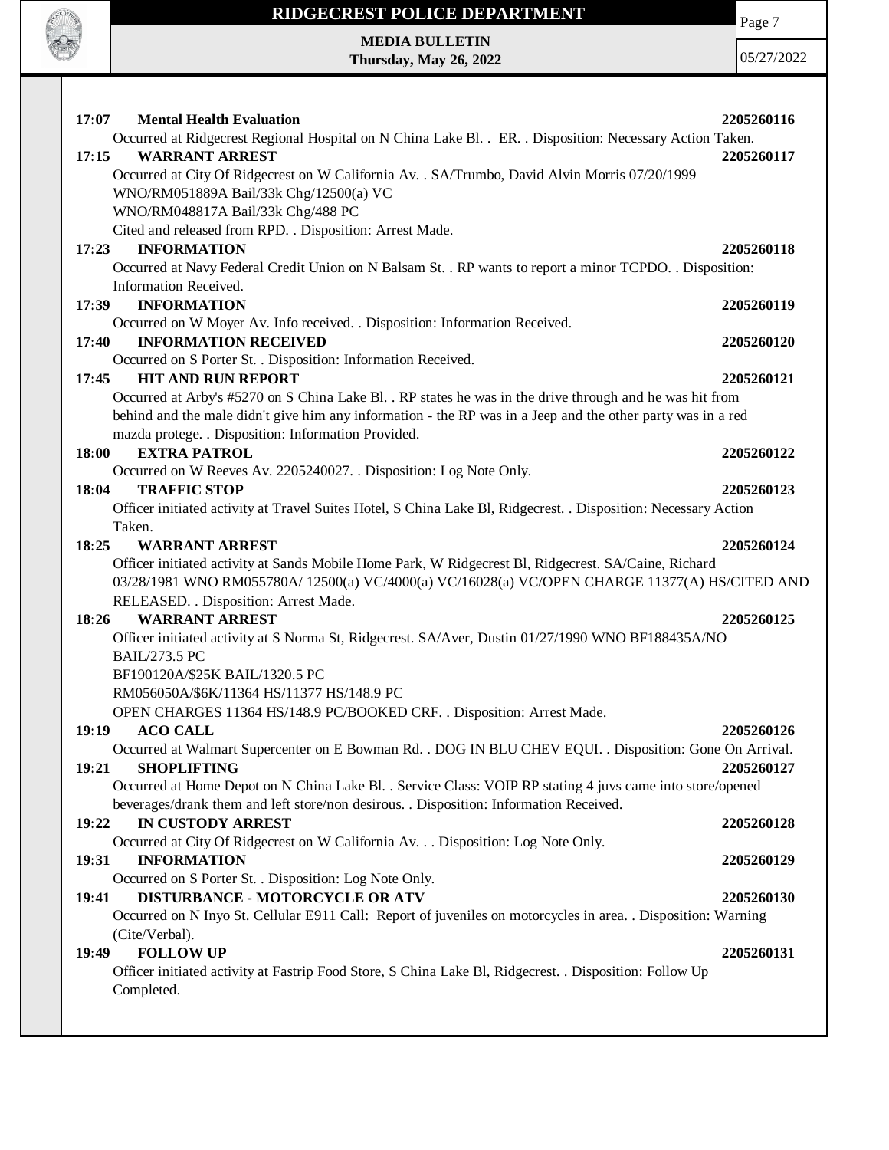